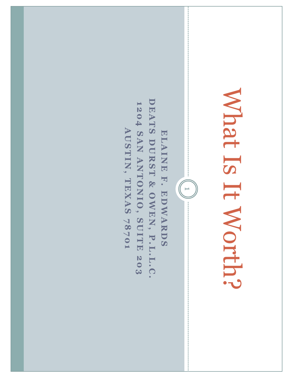### Mhat Is It Worth? What Is It Worth?

DEATS DURST & OWEN, P.L.L.C. **DEATS DURST & OWEN** 1204 SAN ANTONIO, SUITE 203 **1204 SAN ANTONIO, SUITE 203** AUSTIN, TEXAS 78701 **AUSTIN, TEXAS 78701** ELAINE F. EDWARDS **ELAINE F. EDWARDS , P.L.L.C.**

 $\begin{pmatrix} 1 \\ 1 \end{pmatrix}$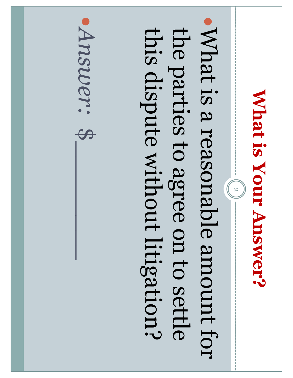### **What is Your Answer?**  What is Your Answer?

 $\frac{1}{2}$ 

What is a reasonable amount for the parties to agree on to settle this dispute without litigation? this dispute without litigation? the parties to agree on to settle What is a reasonable amount for

Mswer: \$ *Answer:*  $\begin{bmatrix} 1 \\ 2 \end{bmatrix}$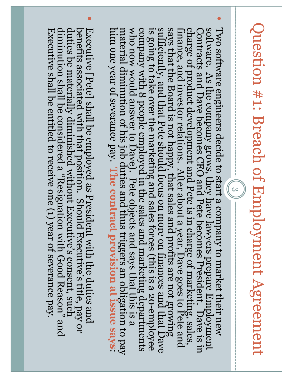# Question #1: Breach of Employment Agreement Question #1: Breach of Employment Agreement

 $(3)$ 

 $\bullet$ 

- says that the Board is not happy, that sales and profits are not growing sufficiently, and that Pete should focus on more on finances and that Dave is going to take over the marketing and sales forces (this is a 20-employe Two software engineers decide to start a company to market their new who now would answer to Dave). Pete objects and says that this is a<br>material diminution of his job duties and thus triggers an obligation to pay software. As the company grows, they have lawyers prepare Employment<br>Contracts and Dave becomes CEO and Pete becomes President. Dave is in finance, and investor relations. After about a year, Dave goes to Pete and him one year of severance pay. The contract provision at issue says: company with 8 people employed in the sales and marketing departments<br>who now would answer to Dave). Pete objects and says that this is a<br>material diminution of his job duties and thus triggers an obligation to pay<br>him one charge of product development and Pete is in charge of marketing, sales, finance, and investor relations. After about a year, Dave goes to Pete and says that the Board is not happy, that sales and profits are not growing s charge of product development and Pete is in charge of marketing, sales, Two software engineers decide to start a company to market their new software. As the company grows, they have lawyers prepare Employment Contracts and Dave becomes CEO and Pete becomes President. Dave is in Contracts and
- $\bullet$ benefits associated with that position. Should Executive's title, pay or<br>duties be materially diminished without Executive's consent, such Executive [Pete] shall be employed as President with the duties and diminution shall be considered a "Resignation with Good Reason" and Executive shall be entitled to receive one (1) year of severance pay Executive [Pete] shall be employed as President with the duties and<br>benefits associated with that position. Should Executive's title, pay or<br>duties be materially diminished without Executive's consent, such<br>diminution shal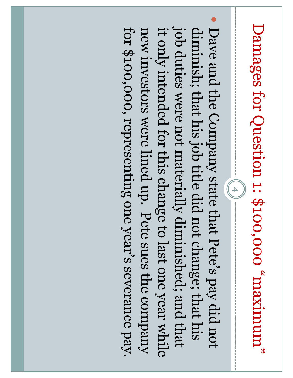# "munitiziem" 000,000.1: \$100,000 "maximum" Damages for Question 1: \$100,000 "maximum"

 $(4)$ 

 $\bullet$ job duties were not materially diminished; and that for \$100,000, representing one year's severance pay. new investors were lined up. Pete sues the company it only intended for this change to last one year while diminish; that his job title did not change; that his job duties were not materially diminished; and that for \$100,000, representing one year's severance pay. new investors were lined up. Pete sues the company it only intended for this change to last one year while diminish; that his job title did not change; that his Dave and the Company state that Pete's pay did not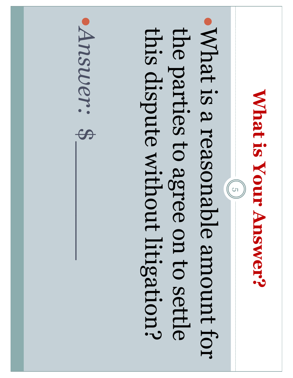### **What is Your Answer? What is Your Answer?**

 $\frac{1}{2}$ 

What is a reasonable amount for the parties to agree on to settle this dispute without litigation? this dispute without litigation? the parties to agree on to settle What is a reasonable amount for

Mswer: \$ *Answer:*  $\begin{bmatrix} 1 \\ 2 \end{bmatrix}$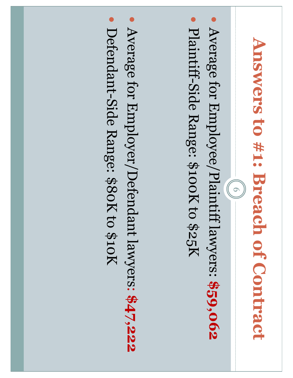# Answers to #1: Breach of Contract **Answers to #1: Breach of Contract**

 $=(\begin{pmatrix} 6 \end{pmatrix})$ 

- $\bullet$ Average for Employee/Plaintiff lawyers: Average for Employee/Plaintiff lawyers: \$59,062
- $\bullet$ Plaintiff-Side Range: \$100K to \$25K

 $\bullet$ Average for Employer/Defendant lawyers: **\$47,222** Defendant-Side Range: \$80K to \$10K Defendant -Side Range: \$80K to \$10K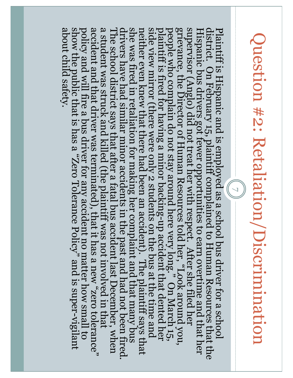# Question #2: Retaliation/Discrimination Question #2: Retaliation/Discrimination

 $($   $2$   $)$ 

The school district says that after a fatal bus accident last December, when a student was struck and killed (the plaintiff was not involved in that accident and that driver was terminated), that it has a new "zero toleran Plaintiff is Hispanic and is employed as a school bus driver for a school district. On February 15, plaintiff complained to Human Resources that the Hispanic bus drivers got fewer opportunities to earn overtime and that he show the public that is has a "Zero Tolerance Policy" and is super-vigilant about child safety. drivers have had similar minor accidents in the past and had not been fired. policy and will fire a bus driver for any accident no matter how small to side view mirror (there were only 2 students on the bus at the time and<br>neither even knew that there had been an accident). The plaintiff says that<br>she was fired in retaliation for making her complaint and that many bus<br>dr show the public that is has a "Zero Tolerance Policy" and is super-vigilant<br>about child safety. show the public that is has a "Zero Tolerance Policy" and is super policy and will fire a bus driver for any accident no matter how small to -up accident that dented her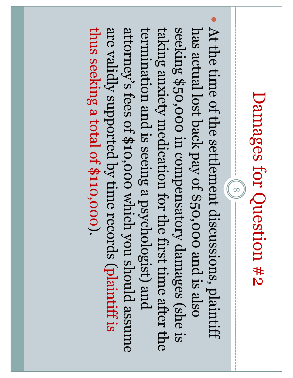### Damages for Question #2 Damages for Question #2

 $(8)$ 

 $\bullet$ thus seeking a total of \$110,000). are validly supported by time records (plaintiff is attorney's fees of \$10,000 which you should assume termination and is seeing a psychologist) and seeking \$50,000 in compensatory damages (she is has actual lost back pay of \$50,000 and is also taking anxiety medication for the first time after the thus seeking a total of \$110,000). termination and is seeing a psychologist) and taking anxiety medication for the first time after the has actual lost back pay of \$50,000 and is also At the time of the settlement discussions, plaintiff are validly supported by time records ( attorney's fees of \$10,000 which you should assume seeking \$50,000 in compensatory damages (she is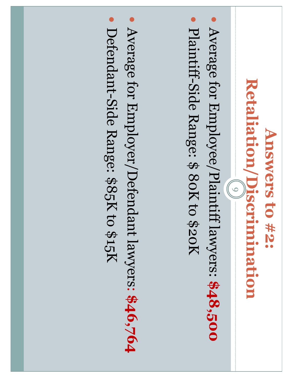#### Retaliation/Discrimination **Retaliation/Discrimination** Answers to #2: **Answers to #2:**   $(6)$

- $\bullet$ Average for Employee/Plaintiff lawyers: Average for Employee/Plaintiff lawyers: \$48,500
- $\bullet$ Plaintiff-Side Range: \$ 80K to \$20K

 $\bullet$ Average for Employer/Defendant lawyers: **\$46,764** Defendant-Side Range: \$85K to \$15K Defendant-Side Range: \$85K to \$15K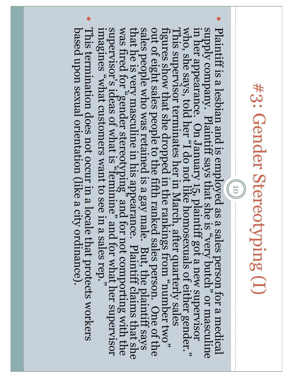### #3: Gender Stereotyping (I) #3: Gender Stereotyping (I)

 $\left(\begin{array}{c} 0 & 1 \end{array}\right)$ 

- $\bullet$ Plaintiff is a lesbian and is employed as a sales person for a medical<br>supply company. Plaintiff says that she is "very butch" or masculine<br>in her appearance. On January 15, plaintiff got a new supervisor<br>in the appearance
- $\bullet$ This termination does not occur in a locale that protects workers based upon sexual orientation (like a city ordinance). based upon sexual orientation (like a city ordinance). This termination does not occur in a locale that protects workers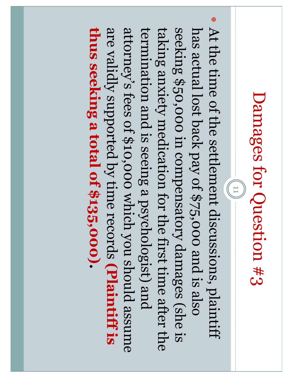### Damages for Question #3 Damages for Question #3

 $\frac{1}{11}$ 

 $\bullet$ thus seeking a total of \$135,000). are validly supported by time records (Plaintiff is attorney's fees of \$10,000 which you should assume termination and is seeing a psychologist) and seeking \$50,000 in compensatory damages (she is has actual lost back pay of \$75,000 and is also taking anxiety medication for the first time after the **thus seeking a total of \$135,000)** termination and is seeing a psychologist) and taking anxiety medication for the first time after the has actual lost back pay of \$75,000 and is also At the time of the settlement discussions, plaintiff are validly supported by time records attorney's fees of \$10,000 which you should assume seeking \$50,000 in compensatory damages (she is **(Plaintiff is**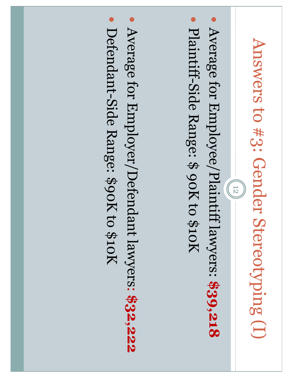# Answers to #3: Gender Stereotyping (I) Answers to #3: Gender Stereotyping (I)

 $(12)$ 

- $\bullet$ Average for Employee/Plaintiff lawyers: Average for Employee/Plaintiff lawyers: \$39,218
- $\bullet$ Plaintiff-Side Range: \$ 90K to \$10K

 $\bullet$ Average for Employer/Defendant lawyers: **\$32,222** Defendant-Side Range: \$90K to \$10K Defendant -Side Range: \$90K to \$10K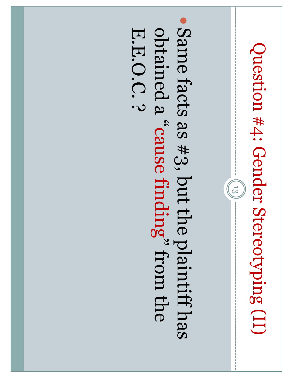## Question #4: Gender Stereotyping (II) Question #4: Gender Stereotyping (II)

 $(13)$ 

Same facts as #3, but the plaintiff has ohtained a "cause finding" from the E.E.O.C.? obtained a " E.E.O.C. ? Same facts as #3, but the plaintiff has cause finding" from the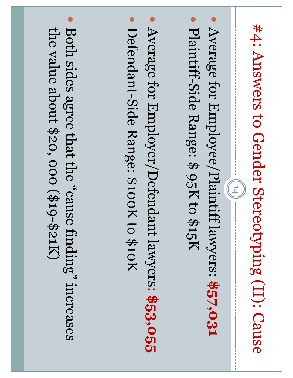# #4: Answers to Gender Stereotyping (II): Cause #4: Answers to Gender Stereotyping (II): Cause

 $(14)$ 

- $\bullet$ Average for Employee/Plaintiff lawyers: **\$57,031**
- $\bullet$ Plaintiff-Side Range: \$ 95K to \$15K Plaintiff-Side Range: \$ 95K to \$15K
- $\bullet$ Average for Employer/Defendant lawyers: **\$53,055**
- Defendant-Side Range: \$100K to \$10K Defendant -Side Range: \$100K to \$10K

Both sides agree that the "cause finding" increases the value about \$20, 000 (\$19 Both sides agree that the "cause finding" increases the value about \$20, 000 (\$19-\$21K)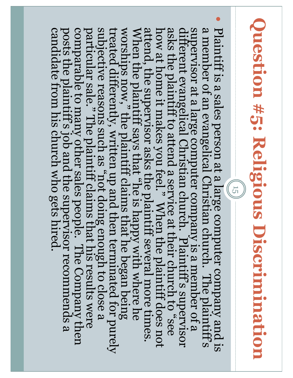# Question #5: Religious Discrimination **Question #5: Religious Discrimination**

 $(15)$ 

 $\bullet$ 

Plaintiff is a sales person at a large computer company and is a member of an evangelical Christian church. The plaintiff's superwisor at a large computer company is a member of a lafterent evangelical Christian church. P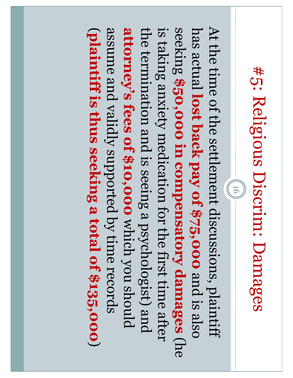## #5: Religious Discrim: Damages #5: Religious Discrim: Damages

At the time of the settlement discussions, plaintiff assume and validly supported by time records attorney's fees of \$10,000 which you should is taking anxiety medication for the first time after has actual lost back pay of \$75,000 and is also At the time of the settlement discussions, plaintiff the termination and is seeing a psychologist) and  $\overline{\phantom{m}}$ the termination and is seeing a psychologist) and has actual assume and validly supported by time records **attorney's fees of \$10,000**  is taking anxiety medication for the first time after seeking **plaintiff is thus seeking a total of \$135,000 \$50,000 in compensatory damages lost back pay of \$75,000**  $(91)$ which you should and is also (he  $\smile$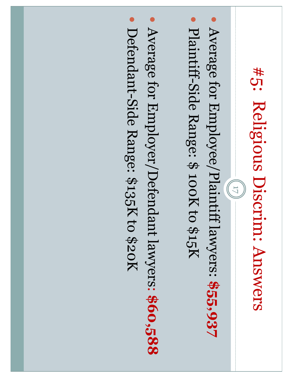## #5: Religious Discrim: Answers #5: Religious Discrim: Answers

 $(11)$ 

- $\bullet$ Average for Employee/Plaintiff lawyers: Average for Employee/Plaintiff lawyers: \$55,937
- $\bullet$ Plaintiff-Side Range: \$ 100K to \$15K
- $\bullet$ Average for Employer/Defendant lawyers: **\$60,588**
- Defendant-Side Range: \$135K to \$20K Defendant -Side Range: \$135K to \$20K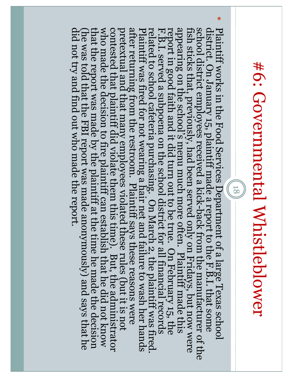## #6: Governmental Whistleblower #6: Governmental Whistleblower

(18)

 $\bullet$ 

school district employees received a kick-back from the manufacturer of the fish sticks that, previously, had been served only on Fridays, but now were fish sticks that, previously, had been served only on Fridays, but now Plaintiff works in the Food Services Department of a large Texas school district. On January 15, plaintiff made a report to the F.B.I. that some school district employees received a kick district. On January 15, plaintiff made a report to the F.B.I. that some Plaintiff works in the Food Services Department of a large Texas school -back from the manufacturer of the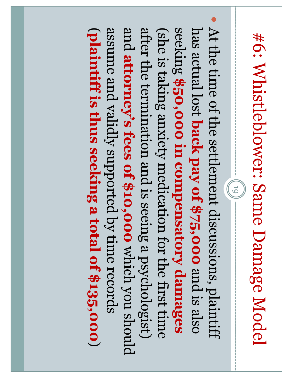# #6: Whistleblower: Same Damage Model #6: Whistleblower: Same Damage Model

 $(61)$ 

 $\bullet$ assume and validly supported by time records and attorney's fees of \$10,000 which you should after the termination and is seeing a psychologist) seeking \$50,000 in compensatory damages has actual lost back pay of \$75,000 and is also  $\overline{\phantom{m}}$ (she is taking anxiety medication for the first time has actual lost At the time of the settlement discussions, plaintiff assume and validly supported by time records after the termination and is seeing a psychologist) (she is taking anxiety medication for the first time **plaintiff is thus seeking a total of \$135,000 attorney's fees of \$10,000** which you should **\$50,000 in compensatory damages back pay of \$75,000** and is also  $\smile$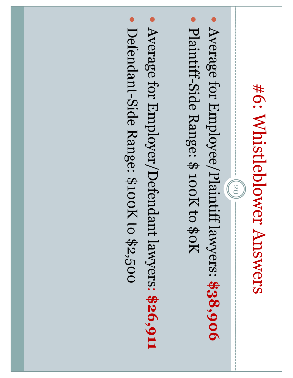### #6: Whistleblower Answers #6: Whistleblower Answers

 $(20)$ 

- $\bullet$ Average for Employee/Plaintiff lawyers: Average for Employee/Plaintiff lawyers: \$38,906
- $\bullet$ Plaintiff-Side Range: \$ 100K to \$0K
- $\bullet$ Average for Employer/Defendant lawyers: **\$26,911**
- Defendant-Side Range: \$100K to \$2,500 Defendant -Side Range: \$100K to \$2,500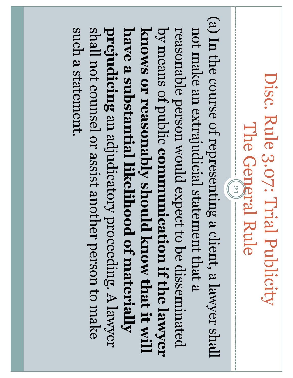#### Disc. Rule 3.07: Trial Publicity Disc. Rule 3.07: Trial Publicity The General Rule The General Rule 21

(a) In the course of representing a client, a lawyer shall (a) In the course of representing a client, a lawyer shall such a statement. prejudicing an adjudicatory proceeding. A lawyer by means of public communication if the lawyer shall not counsel or assist another person to make have a substantial likelihood of materially not make an extrajudicial statement that a **prejudicing have a substantial likelihood of materially knows or reasonably should know that it will**  knows or reasonably should know that it will by means of public reasonable person would expect to be disseminated such a statement. shall not counsel or assist another person to make reasonable person would expect to be disseminated not make an extrajudicial statement that a an adjudicatory proceeding. A lawyer **communication if the lawyer**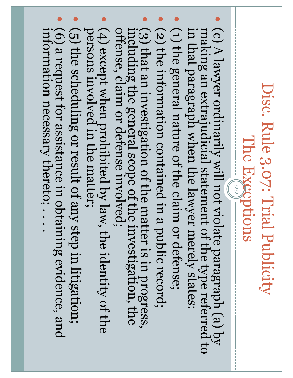#### Disc. Rule 3.07: Trial Publicity Disc. Rule 3.07: Trial Publicity The Exgeptions The Exceptions

22

- · (c) A lawyer ordinarily will not violate paragraph (a) by in that paragraph when the lawyer merely states: making an extrajudicial statement of the type referred to in that paragraph when the lawyer merely states: making an extrajudicial statement of the type referred to (c) A lawyer ordinarily will not violate paragraph (a) by
- $\bullet$ (1) the general nature of the claim or defense; (1) the general nature of the claim or defense;
- $\bullet$ (2) the information contained in a public record; (2) the information contained in a public record;
- $\bullet$ (3) that an investigation of the matter is in progress, offense, claim or defense involved; including the general scope of the investigation, the (3) that an investigation of the matter is in progress, including the general scope of the investigation, the offense, claim or defense involved;
- (4) except when prohibited by law, the identity of the persons involved in the matter; persons involved in the matter; (4) except when prohibited by law, the identity of the
- $\bullet$ (5) the scheduling or result of any step in litigation; (5) the scheduling or result of any step in litigation;
- $\bullet$ (6) a request for assistance in obtaining evidence, and information necessary thereto; .... information necessary thereto; . . . . (6) a request for assistance in obtaining evidence, and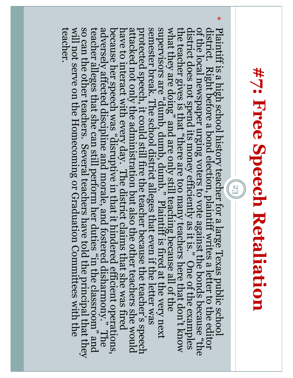## #7: Free Speech Retaliation **#7: Free Speech Retaliation**

 $(53)$ 

 $\bullet$ 

Plaintiff is a high school history teacher for a large Texas public school of the local newspaper urging voters to vote against the bonds because "the district does not spend its money efficiently as it is. " One of the e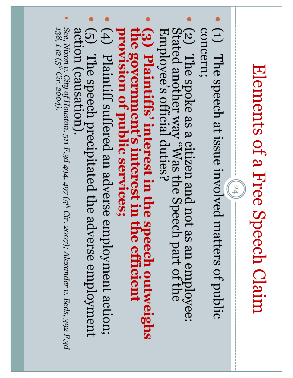## Elements of a Free Speech Claim Elements of a Free Speech Claim

 $(24)$ 

- $\bullet$ concern; concern; (1) The speech at issue involved matters of public
- $\bullet$ (2) The spoke as a citizen and not as an employee: Stated another way "Was the Speech part of the Employee's official duties? Stated another way "Was the Speech part of the Employee's official duties? (2) The spoke as a citizen and not as an employee:
- $\bullet$ **(3) Plaintiffs' interest in the speech outweighs the government's interest in the efficient** provision of public services; **provision of public services; the government's interest in the efficient Plaintiffs' interest in the speech outweighs**
- $\bullet$ (4) Plaintiff suffered an adverse employment action; (4) Plaintiff suffered an adverse employment action;
- $\bullet$ (5) The speech precipitated the adverse employment action (causation). (5) The speech precipitated the adverse employment action (causation).
- $\bullet$ See, Nixon v. City of Houston, 511 F.3d 494, 497 (5<sup>th</sup> Cir. 2007); Alexander v. Eeds, 392 F.3d<br>138, 142 (5<sup>th</sup> Cir. 2004). *See, Nixon v. City of Houston, 511 F.3d 494, 497 (5th Cir. 2007); Alexander v. Eeds, 392 F.3d 138, 142 (5th Cir. 2004).*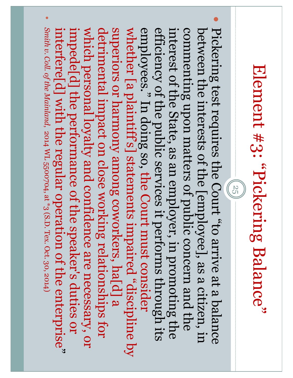## Element #3: "Pickering Balance" Element #3: "Pickering Balance"

 $(55)$ 

 $\bullet$  $\bullet$ Pickering test requires the Court "to arrive at a balance Smith v. Coll. of the Mainland, 2014 WL 5500704, at \*3 (S.D. Tex. Oct. 30, 2014) superiors or harmony among coworkers, hald a interfere[d] with the regular operation of the enterprise" which personal loyalty and confidence are necessary, or efficiency of the public services it performs through its between the interests of the [employee], as a citizen, in *Smith v. Coll. of the Mainland*impede[d] the performance of the speaker's duties or which personal loyalty and confidence are necessary, or detrimental impact on close working relationships for whether [a plaintiff's] statements impaired "discipline by whether [a plaintiff's] statements impaired "discipline by employees." In doing so, the Court must consider interest of the State, as an employer, in promoting the commenting upon matters of public concern and the between the interests of the [employee], as a citizen, in interfere[d] with the regular operation of the enterprise impede[d] the performance of the speaker's duties or detrimental impact on close working relationships for superiors or harmony among coworkers, ha[d] a employees." In doing so, efficiency of the public services it performs through its interest of the State, as an employer, in promoting the commenting upon matters of public concern and the Pickering test requires the Court "to arrive at a balance , 2014 WL 5500704, at \*3 (S.D. Tex. Oct. 30, 2014)the Court must consider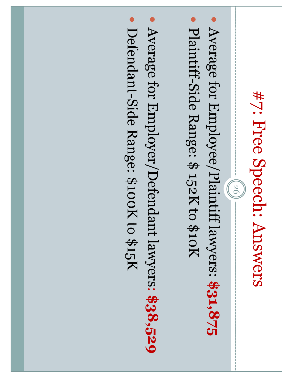### #7: Free Speech: Answers #7: Free Speech: Answers

 $(26)$ 

- $\bullet$ Average for Employee/Plaintiff lawyers: Average for Employee/Plaintiff lawyers: \$31,875
- $\bullet$ Plaintiff-Side Range: \$ 152K to \$10K
- $\bullet$ Average for Employer/Defendant lawyers: **\$38,529**
- Defendant-Side Range: \$100K to \$15K Defendant -Side Range: \$100K to \$15K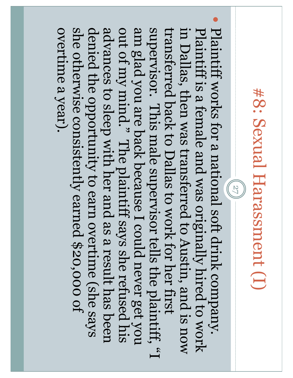### #8: Sexual Harassment (I) #8: Sexual Harassment (I)

 $\bullet$ 

Plaintiff works for a national soft drink company. advances to sleep with her and as a result has been she otherwise consistently earned \$20,000 of am glad you are back because I could never get you supervisor. This male supervisor tells the plaintiff, "I Plaintiff is a female and was originally hired to work overtime a year). denied the opportunity to earn overtime (she says out of my mind." The plaintiff says she refused his transferred back to Dallas to work for her first transferred back to Dallas to work for her first in Dallas, then was transferred to Austin, and is now overtime a year). she otherwise consistently earned \$20,000 of denied the opportunity to earn overtime (she says advances to sleep with her and as a result has been out of my mind." The plaintiff says she refused his am glad you are back because I could never get you supervisor. This male supervisor tells the plaintiff, "I in Dallas, then was transferred to Austin, and is now Plaintiff is a female and was originally hired to work Plaintiff works for a national soft drink company.  $-$  (27)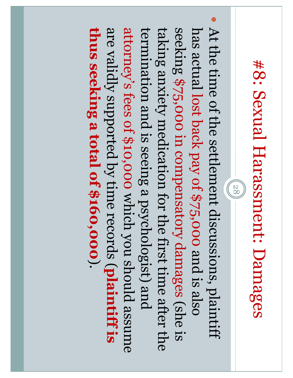## #8: Sexual Harassment: Damages #8: Sexual Harassment: Damages

28

 $\bullet$ thus seeking a total of \$160,000). are validly supported by time records (plaintiff is attorney's fees of \$10,000 which you should assume termination and is seeing a psychologist) and seeking \$75,000 in compensatory damages (she is has actual lost back pay of \$75,000 and is also taking anxiety medication for the first time after the **thus seeking a total of \$160,000**termination and is seeing a psychologist) and taking anxiety medication for the first time after the has actual At the time of the settlement discussions, plaintiff are validly supported by time records (attorney's fees of \$10,000 seeking \$75,000 in compensatory damages (she is lost back pay of \$75,000 and is also which you should assume **plaintiff is**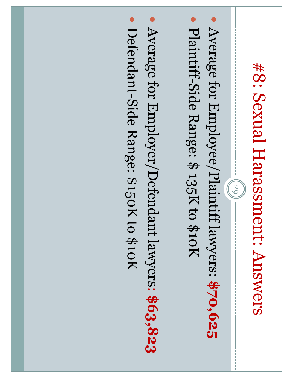## #8: Sexual Harasment: Answers #8: Sexual Harassment: Answers

 $(65)$ 

- $\bullet$ Average for Employee/Plaintiff lawyers: Average for Employee/Plaintiff lawyers: \$70,625
- $\bullet$ Plaintiff-Side Range: \$ 135K to \$10K
- $\bullet$ Average for Employer/Defendant lawyers: **\$63,823**
- Defendant-Side Range: \$150K to \$10K Defendant -Side Range: \$150K to \$10K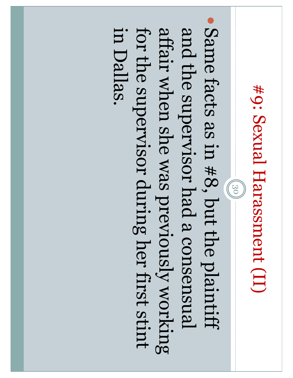### #9: Sexual Harassment (II) #9: Sexual Harassment (II)

Same facts as in #8, but the plaintiff for the supervisor during her first stint affair when she was previously working and the supervisor had a consensual in Dallas. in Dallas. for the supervisor during her first stint affair when she was previously working and the supervisor had a consensual Same facts as in #8, but the plaintiff  $-(30)$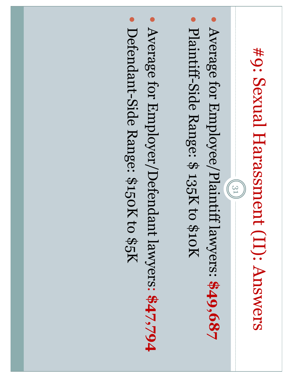## #9: Sexual Harasanent (II): Answers #9: Sexual Harassment (II): Answers

 $(31)$ 

- $\bullet$ Average for Employee/Plaintiff lawyers: Average for Employee/Plaintiff lawyers: \$49,687
- $\bullet$ Plaintiff-Side Range: \$ 135K to \$10K
- $\bullet$ Average for Employer/Defendant lawyers: **\$47,794**
- Defendant-Side Range: \$150K to \$5K Defendant -Side Range: \$150K to \$5K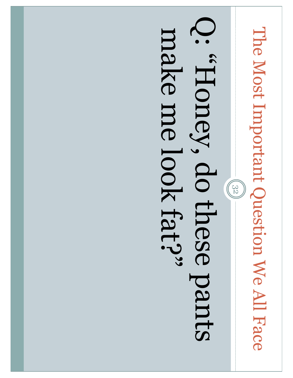# The Most Important Question We All Face The Most Important Question We All Face

 $(32)$ 

### Sured eseup 's donne Q: deviation do the pants make me look fat?" make me look fat?"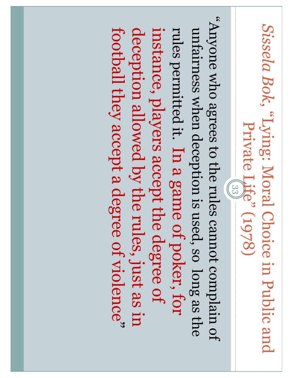Sissela Bok, "Lying: Moral Choice in Public and *Sissela Bok*, "Lying: Moral Choice in Public and Private Life" (1978) Private Life" (1978)

fo nislqmoo to the rules cannot complain of "Anyone who agrees to the rules cannot complain of football they accept a degree of violence" unfairness when deception is used, so long as the deception allowed by the rules, just as in instance, players accept the degree of rules permitted it. In a game of poker, for football they accept a degree of violence deception allowed by the rules, just as in instance, players accept the degree of rules permitted it. unfairness when deception is used, so long as the In a game of poker, for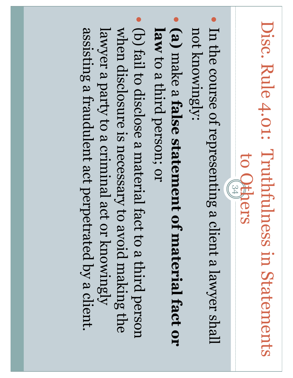### Disc. Rule 4.01: Truthfulness in Statements Disc. Rule 4.01: Truthfulness in Statements to Otspers to Others

- $\bullet$ not knowingly: not knowingly: In the course of representing a client a lawyer shall
- $\bullet$ **(a)** make a **false statement of material fact or**  law to a third person; or to a third person; or
- (b) fail to disclose a material fact to a third person assisting a fraudulent act perpetrated by a client lawyer a party to a criminal act or knowingly when disclosure is necessary to avoid making the lawyer a party to a criminal act or knowingly when disclosure is necessary to avoid making the assisting a fraudulent act perpetrated by a client. (b) fail to disclose a material fact to a third person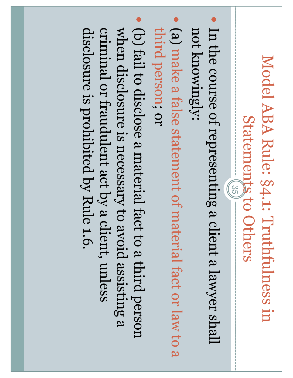#### Model ABA Rule: §4.1: Truthfulness in Model ABA Rule: §4.1: Truthfulness in Statements to Others Statements to Others 35

- $\bullet$ not knowingly: not knowingly: In the course of representing a client a lawyer shall
- $\bullet$ third person; or third person; or (a) make a false statement of material fact or law to a
- o) fail to disclose a material fact to a third person disclosure is prohibited by Rule 1.6. criminal or fraudulent act by a client, unless when disclosure is necessary to avoid assisting a when disclosure is necessary to avoid assisting a disclosure is prohibited by Rule 1.6. criminal or fraudulent act by a client, unless (b) fail to disclose a material fact to a third person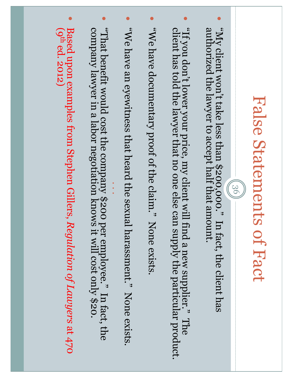### False Statements of Fact False Statements of Fact

36

- $\bullet$ "My client won't take less than \$200,000." In fact, the client has authorized the lawyer to accept half that amount. authorized the lawyer to accept half that amount. "My client won't take less than \$200,000." In fact, the client has
- $\bullet$ "If you don't lower your price, my client will find a new supplier." The client has told the lawyer that no one else can supply the particular product. client has told the lawyer that no one else can supply the particular product. "If you don't lower your price, my client will find a new supplier." The
- $\bullet$ "We have documentary proof of the claim." None exists. "We have documentary proof of the claim." None exists.
- $\bullet$ "We have an eyewitness that heard the sexual harassment." None exists. "We have an eyewitness that heard the sexual harassment." None exists.
- $\bullet$ "That benefit would cost the company \$200 per employee." In fact, the<br>company lawyer in a labor negotiation knows it will cost only \$20. company lawyer in a labor negotiation knows it will cost only \$20. "That benefit would cost the company \$200 per employee." In fact, the

.<br>. .

 $\bullet$ Based upon examples from Stephen Gillers, Regulation of Lawyers at 470  $(q<sup>th</sup> ed. 2012)$ Based upon examples from Stephen Gillers, *Regulation of Lawyers* at 470 (9th ed. 2012)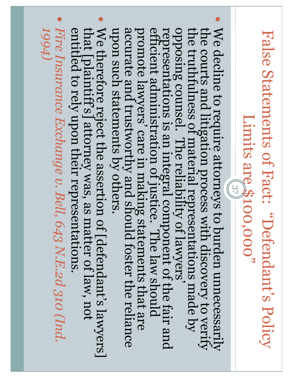#### Valse Statements of Fact: "Defendant's Policy False Statements of Fact: "Defendant's Policy Limits are \$100,000" Limits are \$100,000"

- $\bullet$ We decline to require attorneys to burden unnecessarily<br>the courts and litigation process with discovery to verify<br>opposing counsel. The reliability of lawyers'<br>representations is an integral component of the fair and<br>effi
- $\bullet$ We therefore reject the assertion of [defendant's lawyers] that [plaintiff's] attorney was, as matter of law, not entitled to rely upon their representations We therefore reject the assertion of [defendant's lawyers]<br>that [plaintiff's] attorney was, as matter of law, not<br>entitled to rely upon their representations.
- $\bullet$ Fire Insurance Exchange v. Bell, 643 N.E.2d 310 (Ind. 1994) *1994) Fire Insurance Exchange v. Bell, 643 N.E.2d 310 (Ind.*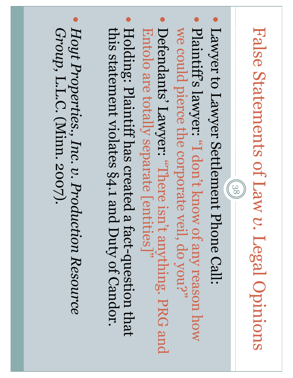### False Statements of Law **False Statements of Law v. Legal Opinions** Legal Opinions

 $(88)$ 

- $\bullet$ Lawyer to Lawyer Settlement Phone Call:
- $\bullet$ Plaintiff's lawyer: "I don't know of any reason how we could pierce the corporate veil, do you?" we could pierce the corporate veil, do you?" Plaintiff's lawyer: "I don't know of any reason how
- **Defendants' Lawyer: "There isn't anything. PRG and** Entolo are totally separate [entities]" Entolo are totally separate [entities]" Defendants' Lawyer: "There isn't anything. PRG and
- $\bullet$ this statement violates §4.1 and Duty of Candor. this statement violates Holding: Plaintiff has created a fact §4.1 and Duty of Candor. -question that
- $\bullet$ Hoyt Properties., Inc. v. Production Resource Group, L.L.C. (Minn. 2007). *Hoyt Properties., Inc. v. Production Resource*  L.L.C. (Minn. 2007).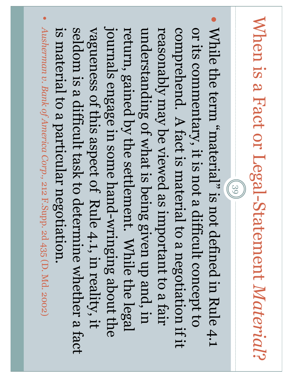### When is a Fact or Legal -Statement *Material* When is a Fact or Legal-Statement Material?

 $(39)$ 

 $\bullet$ While the term "material" is not defined in Rule 4.1 Ausherman v. Bank of America Corp., 212 F.Supp. 2d 435 (D. Md. 2002) journals engage in some hand-wringing about the is material to a particular negotiation seldom is a difficult task to determine whether a fact *Ausherman v. Bank of America Corp.,* journals engage in some hand return, gained by the settlement. While the legal reasonably may be viewed as important to a fair comprehend. A fact is material to a negotiation if it or its commentary, it is not a difficult concept to vagueness of this aspect of Rule 4.1, in reality, it vagueness of this aspect of Rule 4.1, in reality, it understanding of what is being given up and, in While the term "material" is not defined in Rule 4.1 is material to a particular negotiation. seldom is a difficult task to determine whether a fact return, gained by the settlement. While the legal understanding of what is being given up and, in reasonably may be viewed as important to a fair comprehend. A fact is material to a negotiation if it or its commentary, it is not a difficult concept to 212 F.Supp. 2d 435 (D. Md. 2002)-wringing about the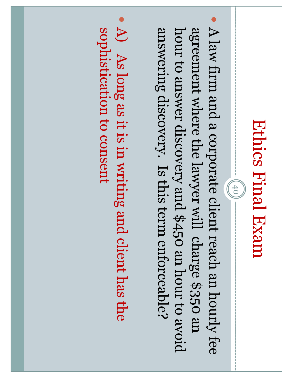$(40)$ 

- A law firm and a corporate client reach an hourly fee answering discovery. Is this term enforceable? agreement where the lawyer will charge \$350 an hour to answer discovery and \$450 an hour to avoid hour to answer discovery and \$450 an hour to avoid A law firm and a corporate client reach an hourly fee answering discovery. Is this term enforceable? agreement where the lawyer will charge \$350 an
- $\bullet$ sophistication to consent  $\bigoplus$ sophistication to consentAs long as it is in writing and client has the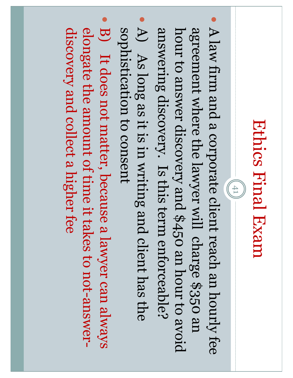$\frac{1}{2}$  (41)

- A law firm and a corporate client reach an hourly fee answering discovery. Is this term enforceable? agreement where the lawyer will charge \$350 an hour to answer discovery and \$450 an hour to avoid hour to answer discovery and \$450 an hour to avoid A law firm and a corporate client reach an hourly fee answering discovery. Is this term enforceable? agreement where the lawyer will charge \$350 an
- $\bullet$ sophistication to consent  $\bigoplus$ sophistication to consent As long as it is in writing and client has the
- $\bullet$ elongate the amount of time it takes to not-answerdiscovery and collect a higher fee discovery and collect a higher feeelongate the amount of time it takes to not-answer-B) It does not matter, because a lawyer can always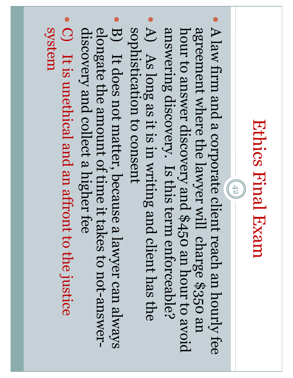$(45)$ 

- $\bullet$ answering discovery. Is this term enforceable? agreement where the lawyer will charge \$350 an hour to answer discovery and \$450 an hour to avoid hour to answer discovery and \$450 an hour to avoid A law firm and a corporate client reach an hourly fee answering discovery. Is this term enforceable? agreement where the lawyer will charge \$350 an
- $\bullet$ sophistication to consent  $\bigoplus$ sophistication to consent As long as it is in writing and client has the
- $\bullet$ elongate the amount of time it takes to not-answerdiscovery and collect a higher fee discovery and collect a higher fee elongate the amount of time it takes to not-answer-B) It does not matter, because a lawyer can always
- $\bullet$  $\bigcirc$ It is unethical and an affront to the justice system